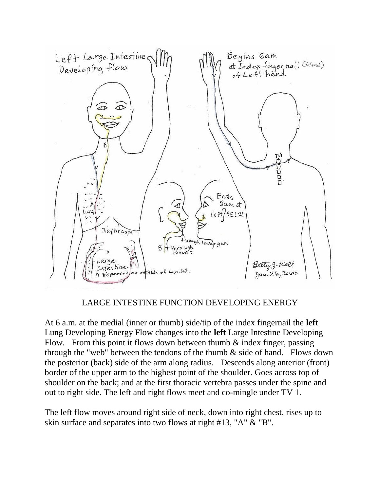

## LARGE INTESTINE FUNCTION DEVELOPING ENERGY

At 6 a.m. at the medial (inner or thumb) side/tip of the index fingernail the **left** Lung Developing Energy Flow changes into the **left** Large Intestine Developing Flow. From this point it flows down between thumb  $\&$  index finger, passing through the "web" between the tendons of the thumb  $\&$  side of hand. Flows down the posterior (back) side of the arm along radius. Descends along anterior (front) border of the upper arm to the highest point of the shoulder. Goes across top of shoulder on the back; and at the first thoracic vertebra passes under the spine and out to right side. The left and right flows meet and co-mingle under TV 1.

The left flow moves around right side of neck, down into right chest, rises up to skin surface and separates into two flows at right #13, "A" & "B".